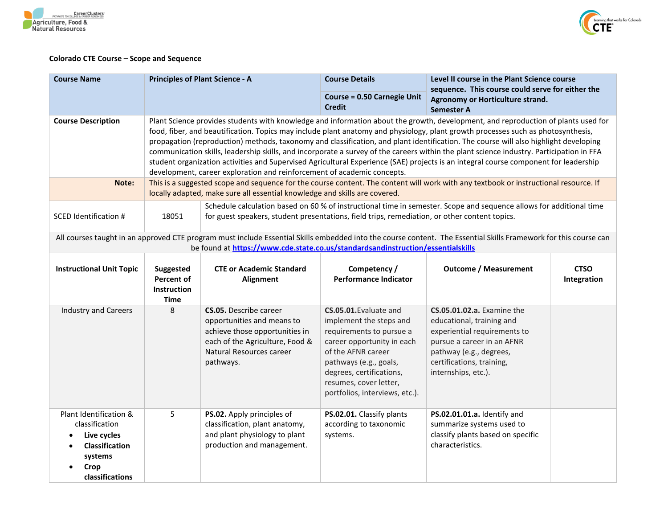



## **Colorado CTE Course – Scope and Sequence**

| <b>Course Name</b>                                                                                                                                                                                                                                                                                                                                                                                                                                                                                                                                                                                                                                                                                                                                                                                        | <b>Principles of Plant Science - A</b>                       |                                                                                                                                                                           | <b>Course Details</b>                                                                                                                                                                                                                               | Level II course in the Plant Science course<br>sequence. This course could serve for either the<br>Agronomy or Horticulture strand.<br><b>Semester A</b>                                                    |                            |
|-----------------------------------------------------------------------------------------------------------------------------------------------------------------------------------------------------------------------------------------------------------------------------------------------------------------------------------------------------------------------------------------------------------------------------------------------------------------------------------------------------------------------------------------------------------------------------------------------------------------------------------------------------------------------------------------------------------------------------------------------------------------------------------------------------------|--------------------------------------------------------------|---------------------------------------------------------------------------------------------------------------------------------------------------------------------------|-----------------------------------------------------------------------------------------------------------------------------------------------------------------------------------------------------------------------------------------------------|-------------------------------------------------------------------------------------------------------------------------------------------------------------------------------------------------------------|----------------------------|
|                                                                                                                                                                                                                                                                                                                                                                                                                                                                                                                                                                                                                                                                                                                                                                                                           |                                                              |                                                                                                                                                                           | <b>Course = 0.50 Carnegie Unit</b><br><b>Credit</b>                                                                                                                                                                                                 |                                                                                                                                                                                                             |                            |
| Plant Science provides students with knowledge and information about the growth, development, and reproduction of plants used for<br><b>Course Description</b><br>food, fiber, and beautification. Topics may include plant anatomy and physiology, plant growth processes such as photosynthesis,<br>propagation (reproduction) methods, taxonomy and classification, and plant identification. The course will also highlight developing<br>communication skills, leadership skills, and incorporate a survey of the careers within the plant science industry. Participation in FFA<br>student organization activities and Supervised Agricultural Experience (SAE) projects is an integral course component for leadership<br>development, career exploration and reinforcement of academic concepts. |                                                              |                                                                                                                                                                           |                                                                                                                                                                                                                                                     |                                                                                                                                                                                                             |                            |
| Note:                                                                                                                                                                                                                                                                                                                                                                                                                                                                                                                                                                                                                                                                                                                                                                                                     |                                                              | locally adapted, make sure all essential knowledge and skills are covered.                                                                                                |                                                                                                                                                                                                                                                     | This is a suggested scope and sequence for the course content. The content will work with any textbook or instructional resource. If                                                                        |                            |
| <b>SCED Identification #</b>                                                                                                                                                                                                                                                                                                                                                                                                                                                                                                                                                                                                                                                                                                                                                                              | 18051                                                        | for guest speakers, student presentations, field trips, remediation, or other content topics.                                                                             |                                                                                                                                                                                                                                                     | Schedule calculation based on 60 % of instructional time in semester. Scope and sequence allows for additional time                                                                                         |                            |
|                                                                                                                                                                                                                                                                                                                                                                                                                                                                                                                                                                                                                                                                                                                                                                                                           |                                                              | be found at https://www.cde.state.co.us/standardsandinstruction/essentialskills                                                                                           |                                                                                                                                                                                                                                                     | All courses taught in an approved CTE program must include Essential Skills embedded into the course content. The Essential Skills Framework for this course can                                            |                            |
| <b>Instructional Unit Topic</b>                                                                                                                                                                                                                                                                                                                                                                                                                                                                                                                                                                                                                                                                                                                                                                           | Suggested<br>Percent of<br><b>Instruction</b><br><b>Time</b> | <b>CTE or Academic Standard</b><br><b>Alignment</b>                                                                                                                       | Competency /<br><b>Performance Indicator</b>                                                                                                                                                                                                        | <b>Outcome / Measurement</b>                                                                                                                                                                                | <b>CTSO</b><br>Integration |
| <b>Industry and Careers</b>                                                                                                                                                                                                                                                                                                                                                                                                                                                                                                                                                                                                                                                                                                                                                                               | 8                                                            | <b>CS.05.</b> Describe career<br>opportunities and means to<br>achieve those opportunities in<br>each of the Agriculture, Food &<br>Natural Resources career<br>pathways. | CS.05.01. Evaluate and<br>implement the steps and<br>requirements to pursue a<br>career opportunity in each<br>of the AFNR career<br>pathways (e.g., goals,<br>degrees, certifications,<br>resumes, cover letter,<br>portfolios, interviews, etc.). | <b>CS.05.01.02.a.</b> Examine the<br>educational, training and<br>experiential requirements to<br>pursue a career in an AFNR<br>pathway (e.g., degrees,<br>certifications, training,<br>internships, etc.). |                            |
| Plant Identification &<br>classification<br>Live cycles<br>$\bullet$<br><b>Classification</b><br>systems<br>Crop<br>classifications                                                                                                                                                                                                                                                                                                                                                                                                                                                                                                                                                                                                                                                                       | 5                                                            | PS.02. Apply principles of<br>classification, plant anatomy,<br>and plant physiology to plant<br>production and management.                                               | PS.02.01. Classify plants<br>according to taxonomic<br>systems.                                                                                                                                                                                     | PS.02.01.01.a. Identify and<br>summarize systems used to<br>classify plants based on specific<br>characteristics.                                                                                           |                            |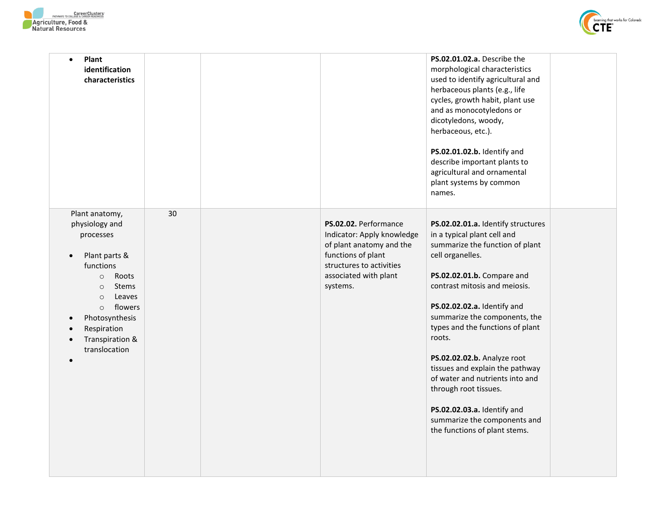



| Plant<br>$\bullet$<br>identification<br>characteristics                                                                                                                                                                                                                           |    |                                                                                                                                                                        | PS.02.01.02.a. Describe the<br>morphological characteristics<br>used to identify agricultural and<br>herbaceous plants (e.g., life<br>cycles, growth habit, plant use<br>and as monocotyledons or<br>dicotyledons, woody,<br>herbaceous, etc.).<br>PS.02.01.02.b. Identify and<br>describe important plants to                                                                                                                                                                                                                      |  |
|-----------------------------------------------------------------------------------------------------------------------------------------------------------------------------------------------------------------------------------------------------------------------------------|----|------------------------------------------------------------------------------------------------------------------------------------------------------------------------|-------------------------------------------------------------------------------------------------------------------------------------------------------------------------------------------------------------------------------------------------------------------------------------------------------------------------------------------------------------------------------------------------------------------------------------------------------------------------------------------------------------------------------------|--|
|                                                                                                                                                                                                                                                                                   |    |                                                                                                                                                                        | agricultural and ornamental<br>plant systems by common<br>names.                                                                                                                                                                                                                                                                                                                                                                                                                                                                    |  |
| Plant anatomy,<br>physiology and<br>processes<br>Plant parts &<br>$\bullet$<br>functions<br>Roots<br>$\circ$<br><b>Stems</b><br>$\circ$<br>Leaves<br>$\circ$<br>flowers<br>$\circ$<br>Photosynthesis<br>Respiration<br>Transpiration &<br>$\bullet$<br>translocation<br>$\bullet$ | 30 | PS.02.02. Performance<br>Indicator: Apply knowledge<br>of plant anatomy and the<br>functions of plant<br>structures to activities<br>associated with plant<br>systems. | PS.02.02.01.a. Identify structures<br>in a typical plant cell and<br>summarize the function of plant<br>cell organelles.<br>PS.02.02.01.b. Compare and<br>contrast mitosis and meiosis.<br>PS.02.02.02.a. Identify and<br>summarize the components, the<br>types and the functions of plant<br>roots.<br>PS.02.02.02.b. Analyze root<br>tissues and explain the pathway<br>of water and nutrients into and<br>through root tissues.<br>PS.02.02.03.a. Identify and<br>summarize the components and<br>the functions of plant stems. |  |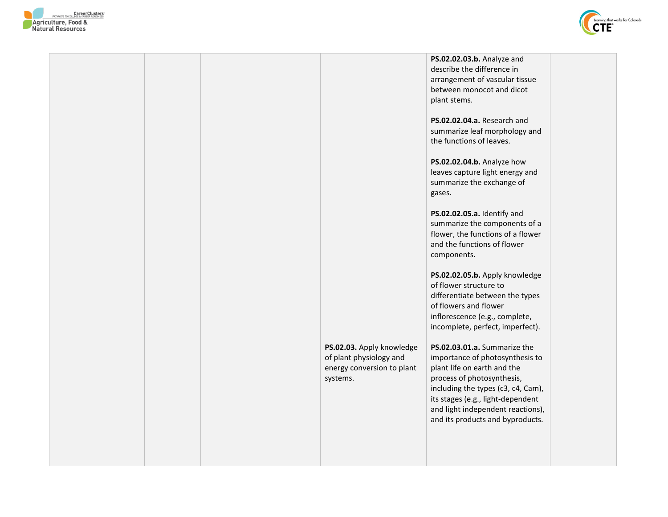



|  |                                                                                                | PS.02.02.03.b. Analyze and<br>describe the difference in<br>arrangement of vascular tissue<br>between monocot and dicot<br>plant stems.<br>PS.02.02.04.a. Research and                                                                                                           |  |
|--|------------------------------------------------------------------------------------------------|----------------------------------------------------------------------------------------------------------------------------------------------------------------------------------------------------------------------------------------------------------------------------------|--|
|  |                                                                                                | summarize leaf morphology and<br>the functions of leaves.                                                                                                                                                                                                                        |  |
|  |                                                                                                | PS.02.02.04.b. Analyze how<br>leaves capture light energy and<br>summarize the exchange of<br>gases.                                                                                                                                                                             |  |
|  |                                                                                                | PS.02.02.05.a. Identify and<br>summarize the components of a<br>flower, the functions of a flower<br>and the functions of flower<br>components.                                                                                                                                  |  |
|  |                                                                                                | PS.02.02.05.b. Apply knowledge<br>of flower structure to<br>differentiate between the types<br>of flowers and flower<br>inflorescence (e.g., complete,<br>incomplete, perfect, imperfect).                                                                                       |  |
|  | PS.02.03. Apply knowledge<br>of plant physiology and<br>energy conversion to plant<br>systems. | PS.02.03.01.a. Summarize the<br>importance of photosynthesis to<br>plant life on earth and the<br>process of photosynthesis,<br>including the types (c3, c4, Cam),<br>its stages (e.g., light-dependent<br>and light independent reactions),<br>and its products and byproducts. |  |
|  |                                                                                                |                                                                                                                                                                                                                                                                                  |  |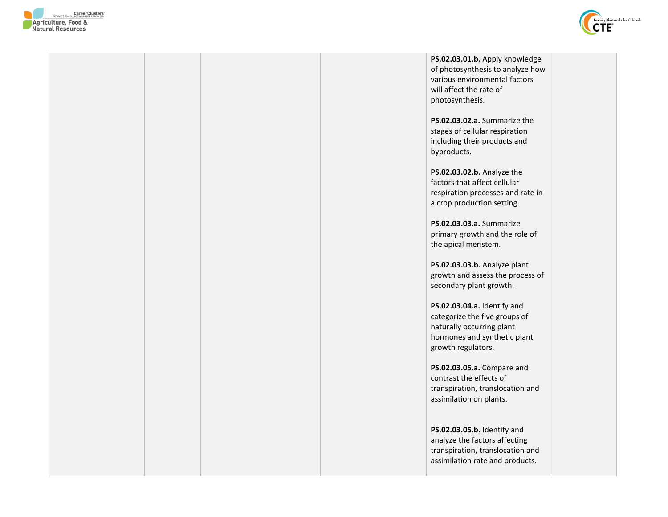



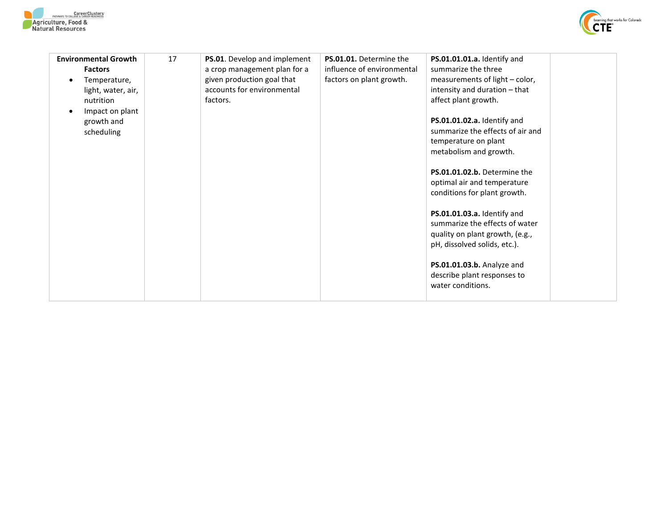



| <b>Environmental Growth</b><br><b>Factors</b><br>Temperature,<br>$\bullet$<br>light, water, air,<br>nutrition<br>Impact on plant<br>growth and<br>scheduling | 17 | PS.01. Develop and implement<br>a crop management plan for a<br>given production goal that<br>accounts for environmental<br>factors. | PS.01.01. Determine the<br>influence of environmental<br>factors on plant growth. | PS.01.01.01.a. Identify and<br>summarize the three<br>measurements of light - color,<br>intensity and duration - that<br>affect plant growth.<br>PS.01.01.02.a. Identify and<br>summarize the effects of air and<br>temperature on plant<br>metabolism and growth.<br>PS.01.01.02.b. Determine the<br>optimal air and temperature<br>conditions for plant growth.<br>PS.01.01.03.a. Identify and<br>summarize the effects of water<br>quality on plant growth, (e.g.,<br>pH, dissolved solids, etc.). |  |
|--------------------------------------------------------------------------------------------------------------------------------------------------------------|----|--------------------------------------------------------------------------------------------------------------------------------------|-----------------------------------------------------------------------------------|-------------------------------------------------------------------------------------------------------------------------------------------------------------------------------------------------------------------------------------------------------------------------------------------------------------------------------------------------------------------------------------------------------------------------------------------------------------------------------------------------------|--|
|                                                                                                                                                              |    |                                                                                                                                      |                                                                                   | PS.01.01.03.b. Analyze and<br>describe plant responses to<br>water conditions.                                                                                                                                                                                                                                                                                                                                                                                                                        |  |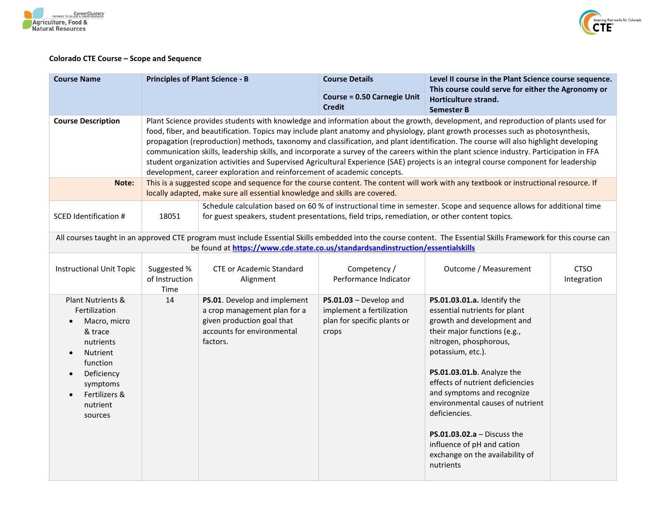



## **Colorado CTE Course – Scope and Sequence**

| <b>Course Name</b>                                                                                                                                                                                                                                                                                                                                                                                                                                                                                                                                                                                                                                                                                                                                                                                                                                                                                                                                         | <b>Principles of Plant Science - B</b> |                                                                                                                                                                                                                      | <b>Course Details</b>                                                                         | Level II course in the Plant Science course sequence.<br>This course could serve for either the Agronomy or                                                                                                                                                                                                                                                                                                                                        |                            |
|------------------------------------------------------------------------------------------------------------------------------------------------------------------------------------------------------------------------------------------------------------------------------------------------------------------------------------------------------------------------------------------------------------------------------------------------------------------------------------------------------------------------------------------------------------------------------------------------------------------------------------------------------------------------------------------------------------------------------------------------------------------------------------------------------------------------------------------------------------------------------------------------------------------------------------------------------------|----------------------------------------|----------------------------------------------------------------------------------------------------------------------------------------------------------------------------------------------------------------------|-----------------------------------------------------------------------------------------------|----------------------------------------------------------------------------------------------------------------------------------------------------------------------------------------------------------------------------------------------------------------------------------------------------------------------------------------------------------------------------------------------------------------------------------------------------|----------------------------|
|                                                                                                                                                                                                                                                                                                                                                                                                                                                                                                                                                                                                                                                                                                                                                                                                                                                                                                                                                            |                                        |                                                                                                                                                                                                                      | <b>Course = 0.50 Carnegie Unit</b><br><b>Credit</b>                                           | Horticulture strand.<br><b>Semester B</b>                                                                                                                                                                                                                                                                                                                                                                                                          |                            |
| Plant Science provides students with knowledge and information about the growth, development, and reproduction of plants used for<br><b>Course Description</b><br>food, fiber, and beautification. Topics may include plant anatomy and physiology, plant growth processes such as photosynthesis,<br>propagation (reproduction) methods, taxonomy and classification, and plant identification. The course will also highlight developing<br>communication skills, leadership skills, and incorporate a survey of the careers within the plant science industry. Participation in FFA<br>student organization activities and Supervised Agricultural Experience (SAE) projects is an integral course component for leadership<br>development, career exploration and reinforcement of academic concepts.<br>This is a suggested scope and sequence for the course content. The content will work with any textbook or instructional resource. If<br>Note: |                                        |                                                                                                                                                                                                                      |                                                                                               |                                                                                                                                                                                                                                                                                                                                                                                                                                                    |                            |
|                                                                                                                                                                                                                                                                                                                                                                                                                                                                                                                                                                                                                                                                                                                                                                                                                                                                                                                                                            |                                        | locally adapted, make sure all essential knowledge and skills are covered.                                                                                                                                           |                                                                                               |                                                                                                                                                                                                                                                                                                                                                                                                                                                    |                            |
| <b>SCED Identification #</b>                                                                                                                                                                                                                                                                                                                                                                                                                                                                                                                                                                                                                                                                                                                                                                                                                                                                                                                               | 18051                                  | Schedule calculation based on 60 % of instructional time in semester. Scope and sequence allows for additional time<br>for guest speakers, student presentations, field trips, remediation, or other content topics. |                                                                                               |                                                                                                                                                                                                                                                                                                                                                                                                                                                    |                            |
|                                                                                                                                                                                                                                                                                                                                                                                                                                                                                                                                                                                                                                                                                                                                                                                                                                                                                                                                                            |                                        | be found at https://www.cde.state.co.us/standardsandinstruction/essentialskills                                                                                                                                      |                                                                                               | All courses taught in an approved CTE program must include Essential Skills embedded into the course content. The Essential Skills Framework for this course can                                                                                                                                                                                                                                                                                   |                            |
| <b>Instructional Unit Topic</b>                                                                                                                                                                                                                                                                                                                                                                                                                                                                                                                                                                                                                                                                                                                                                                                                                                                                                                                            | Suggested %<br>of Instruction<br>Time  | <b>CTE or Academic Standard</b><br>Alignment                                                                                                                                                                         | Competency /<br>Performance Indicator                                                         | Outcome / Measurement                                                                                                                                                                                                                                                                                                                                                                                                                              | <b>CTSO</b><br>Integration |
| Plant Nutrients &<br>Fertilization<br>Macro, micro<br>$\bullet$<br>& trace<br>nutrients<br>Nutrient<br>$\bullet$<br>function<br>Deficiency<br>symptoms<br>Fertilizers &<br>$\bullet$<br>nutrient<br>sources                                                                                                                                                                                                                                                                                                                                                                                                                                                                                                                                                                                                                                                                                                                                                | 14                                     | PS.01. Develop and implement<br>a crop management plan for a<br>given production goal that<br>accounts for environmental<br>factors.                                                                                 | $PS.01.03 - Develop$ and<br>implement a fertilization<br>plan for specific plants or<br>crops | PS.01.03.01.a. Identify the<br>essential nutrients for plant<br>growth and development and<br>their major functions (e.g.,<br>nitrogen, phosphorous,<br>potassium, etc.).<br>PS.01.03.01.b. Analyze the<br>effects of nutrient deficiencies<br>and symptoms and recognize<br>environmental causes of nutrient<br>deficiencies.<br><b>PS.01.03.02.a</b> - Discuss the<br>influence of pH and cation<br>exchange on the availability of<br>nutrients |                            |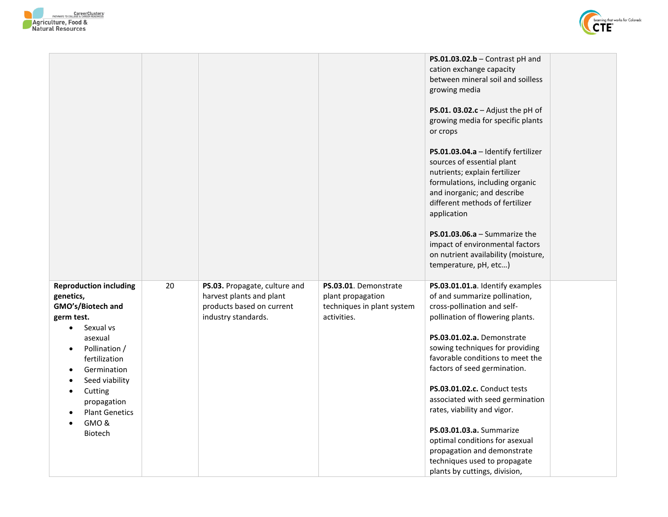



|                                                                                                                                                                                                                                                                                                                 |    |                                                                                                               |                                                                                         | $PS.01.03.02.b$ - Contrast pH and<br>cation exchange capacity<br>between mineral soil and soilless<br>growing media<br>PS.01. $03.02.c -$ Adjust the pH of<br>growing media for specific plants<br>or crops<br>PS.01.03.04.a - Identify fertilizer<br>sources of essential plant<br>nutrients; explain fertilizer<br>formulations, including organic<br>and inorganic; and describe<br>different methods of fertilizer<br>application<br>$PS.01.03.06.a - Summarize the$<br>impact of environmental factors<br>on nutrient availability (moisture,<br>temperature, pH, etc) |  |
|-----------------------------------------------------------------------------------------------------------------------------------------------------------------------------------------------------------------------------------------------------------------------------------------------------------------|----|---------------------------------------------------------------------------------------------------------------|-----------------------------------------------------------------------------------------|-----------------------------------------------------------------------------------------------------------------------------------------------------------------------------------------------------------------------------------------------------------------------------------------------------------------------------------------------------------------------------------------------------------------------------------------------------------------------------------------------------------------------------------------------------------------------------|--|
| <b>Reproduction including</b><br>genetics,<br>GMO's/Biotech and<br>germ test.<br>Sexual vs<br>$\bullet$<br>asexual<br>Pollination /<br>$\bullet$<br>fertilization<br>Germination<br>Seed viability<br>$\bullet$<br>Cutting<br>$\bullet$<br>propagation<br><b>Plant Genetics</b><br>$\bullet$<br>GMO&<br>Biotech | 20 | PS.03. Propagate, culture and<br>harvest plants and plant<br>products based on current<br>industry standards. | PS.03.01. Demonstrate<br>plant propagation<br>techniques in plant system<br>activities. | PS.03.01.01.a. Identify examples<br>of and summarize pollination,<br>cross-pollination and self-<br>pollination of flowering plants.<br>PS.03.01.02.a. Demonstrate<br>sowing techniques for providing<br>favorable conditions to meet the<br>factors of seed germination.<br>PS.03.01.02.c. Conduct tests<br>associated with seed germination<br>rates, viability and vigor.<br>PS.03.01.03.a. Summarize<br>optimal conditions for asexual<br>propagation and demonstrate<br>techniques used to propagate<br>plants by cuttings, division,                                  |  |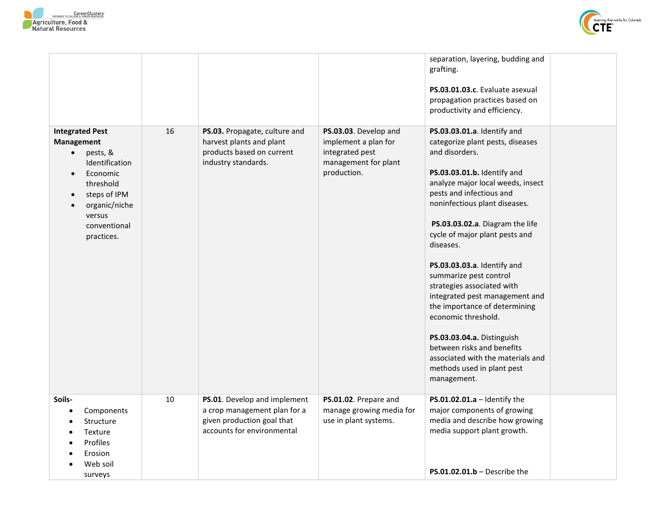



|                                                                                                                                                                                                             |    |                                                                                                                          |                                                                                                         | separation, layering, budding and<br>grafting.<br>PS.03.01.03.c. Evaluate asexual<br>propagation practices based on<br>productivity and efficiency.                                                                                                                                                                                                                                                                                                                                                                                                                                                                                 |  |
|-------------------------------------------------------------------------------------------------------------------------------------------------------------------------------------------------------------|----|--------------------------------------------------------------------------------------------------------------------------|---------------------------------------------------------------------------------------------------------|-------------------------------------------------------------------------------------------------------------------------------------------------------------------------------------------------------------------------------------------------------------------------------------------------------------------------------------------------------------------------------------------------------------------------------------------------------------------------------------------------------------------------------------------------------------------------------------------------------------------------------------|--|
| <b>Integrated Pest</b><br>Management<br>pests, &<br>$\bullet$<br>Identification<br>Economic<br>$\bullet$<br>threshold<br>steps of IPM<br>$\bullet$<br>organic/niche<br>versus<br>conventional<br>practices. | 16 | PS.03. Propagate, culture and<br>harvest plants and plant<br>products based on current<br>industry standards.            | PS.03.03. Develop and<br>implement a plan for<br>integrated pest<br>management for plant<br>production. | PS.03.03.01.a. Identify and<br>categorize plant pests, diseases<br>and disorders.<br>PS.03.03.01.b. Identify and<br>analyze major local weeds, insect<br>pests and infectious and<br>noninfectious plant diseases.<br>PS.03.03.02.a. Diagram the life<br>cycle of major plant pests and<br>diseases.<br>PS.03.03.03.a. Identify and<br>summarize pest control<br>strategies associated with<br>integrated pest management and<br>the importance of determining<br>economic threshold.<br>PS.03.03.04.a. Distinguish<br>between risks and benefits<br>associated with the materials and<br>methods used in plant pest<br>management. |  |
| Soils-<br>Components<br>$\bullet$<br>Structure<br>Texture<br>Profiles<br>Erosion<br>Web soil<br>surveys                                                                                                     | 10 | PS.01. Develop and implement<br>a crop management plan for a<br>given production goal that<br>accounts for environmental | PS.01.02. Prepare and<br>manage growing media for<br>use in plant systems.                              | PS.01.02.01.a $-$ Identify the<br>major components of growing<br>media and describe how growing<br>media support plant growth.<br>$PS.01.02.01.b - Describe the$                                                                                                                                                                                                                                                                                                                                                                                                                                                                    |  |